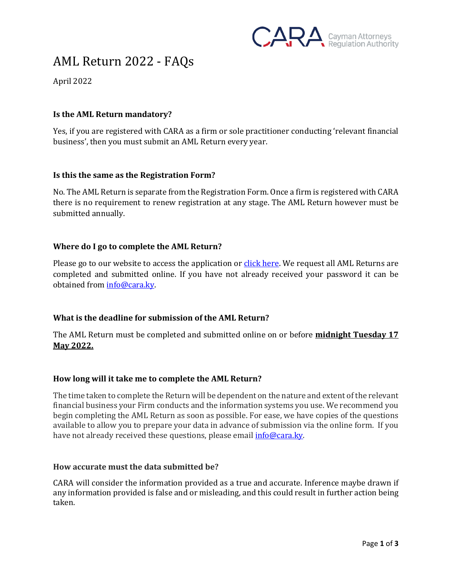

# AML Return 2022 - FAQs

April 2022

## **Is the AML Return mandatory?**

Yes, if you are registered with CARA as a firm or sole practitioner conducting 'relevant financial business', then you must submit an AML Return every year.

## **Is this the same as the Registration Form?**

No. The AML Return is separate from the Registration Form. Once a firm is registered with CARA there is no requirement to renew registration at any stage. The AML Return however must be submitted annually.

## **Where do I go to complete the AML Return?**

Please go to our website to access the application or *click here*. We request all AML Returns are completed and submitted online. If you have not already received your password it can be obtained fro[m info@cara.ky.](mailto:info@cara.ky)

# **What is the deadline for submission of the AML Return?**

The AML Return must be completed and submitted online on or before **midnight Tuesday 17 May 2022.** 

#### **How long will it take me to complete the AML Return?**

The time taken to complete the Return will be dependent on the nature and extent of the relevant financial business your Firm conducts and the information systems you use. We recommend you begin completing the AML Return as soon as possible. For ease, we have copies of the questions available to allow you to prepare your data in advance of submission via the online form. If you have not already received these questions, please email *info@cara.ky*.

#### **How accurate must the data submitted be?**

CARA will consider the information provided as a true and accurate. Inference maybe drawn if any information provided is false and or misleading, and this could result in further action being taken.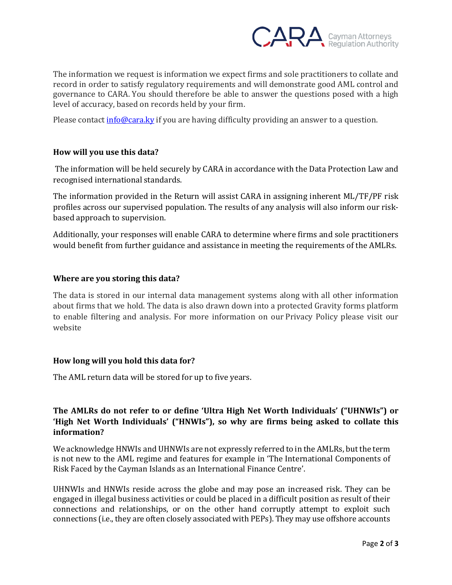

The information we request is information we expect firms and sole practitioners to collate and record in order to satisfy regulatory requirements and will demonstrate good AML control and governance to CARA. You should therefore be able to answer the questions posed with a high level of accuracy, based on records held by your firm.

Please contac[t info@cara.ky](mailto:info@cara.ky) if you are having difficulty providing an answer to a question.

# **How will you use this data?**

The information will be held securely by CARA in accordance with the Data Protection Law and recognised international standards.

The information provided in the Return will assist CARA in assigning inherent ML/TF/PF risk profiles across our supervised population. The results of any analysis will also inform our riskbased approach to supervision.

Additionally, your responses will enable CARA to determine where firms and sole practitioners would benefit from further guidance and assistance in meeting the requirements of the AMLRs.

## **Where are you storing this data?**

The data is stored in our internal data management systems along with all other information about firms that we hold. The data is also drawn down into a protected Gravity forms platform to enable filtering and analysis. For more information on our Privacy Policy please visit our website

#### **How long will you hold this data for?**

The AML return data will be stored for up to five years.

# **The AMLRs do not refer to or define 'Ultra High Net Worth Individuals' ("UHNWIs") or 'High Net Worth Individuals' ("HNWIs"), so why are firms being asked to collate this information?**

We acknowledge HNWIs and UHNWIs are not expressly referred to in the AMLRs, but the term is not new to the AML regime and features for example in 'The International Components of Risk Faced by the Cayman Islands as an International Finance Centre'.

UHNWIs and HNWIs reside across the globe and may pose an increased risk. They can be engaged in illegal business activities or could be placed in a difficult position as result of their connections and relationships, or on the other hand corruptly attempt to exploit such connections (i.e., they are often closely associated with PEPs). They may use offshore accounts